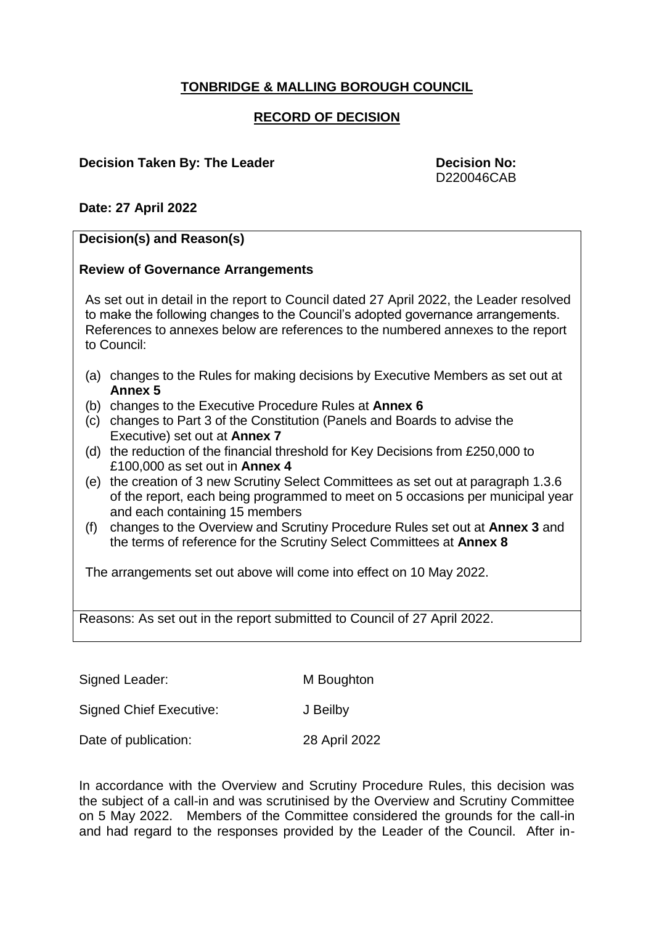## **TONBRIDGE & MALLING BOROUGH COUNCIL**

### **RECORD OF DECISION**

#### **Decision Taken By: The Leader Decision No:**

D220046CAB

#### **Date: 27 April 2022**

# **Decision(s) and Reason(s) Review of Governance Arrangements** As set out in detail in the report to Council dated 27 April 2022, the Leader resolved to make the following changes to the Council's adopted governance arrangements. References to annexes below are references to the numbered annexes to the report to Council: (a) changes to the Rules for making decisions by Executive Members as set out at **Annex 5** (b) changes to the Executive Procedure Rules at **Annex 6** (c) changes to Part 3 of the Constitution (Panels and Boards to advise the Executive) set out at **Annex 7** (d) the reduction of the financial threshold for Key Decisions from £250,000 to £100,000 as set out in **Annex 4** (e) the creation of 3 new Scrutiny Select Committees as set out at paragraph 1.3.6 of the report, each being programmed to meet on 5 occasions per municipal year and each containing 15 members (f) changes to the Overview and Scrutiny Procedure Rules set out at **Annex 3** and the terms of reference for the Scrutiny Select Committees at **Annex 8** The arrangements set out above will come into effect on 10 May 2022. Reasons: As set out in the report submitted to Council of 27 April 2022.

Signed Leader: M Boughton

Signed Chief Executive: J Beilby

Date of publication: 28 April 2022

In accordance with the Overview and Scrutiny Procedure Rules, this decision was the subject of a call-in and was scrutinised by the Overview and Scrutiny Committee on 5 May 2022. Members of the Committee considered the grounds for the call-in and had regard to the responses provided by the Leader of the Council. After in